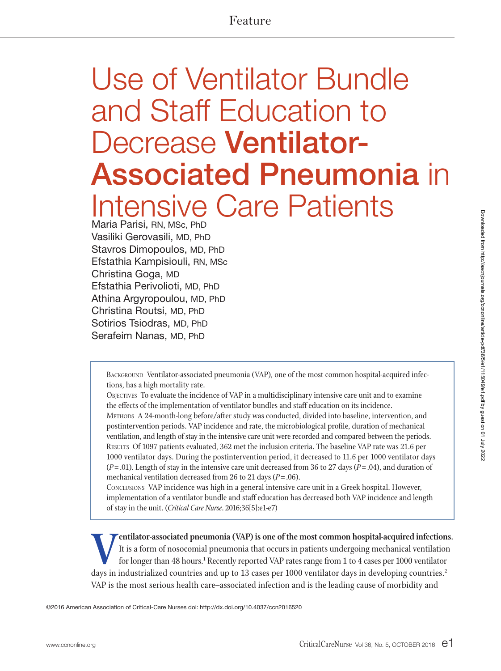# Use of Ventilator Bundle and Staff Education to Decrease **Ventilator-**Associated Pneumonia in Intensive Care Patients

Maria Parisi, RN, MSc, PhD Vasiliki Gerovasili, MD, PhD Stavros Dimopoulos, MD, PhD Efstathia Kampisiouli, RN, MSc Christina Goga, MD Efstathia Perivolioti, MD, PhD Athina Argyropoulou, MD, PhD Christina Routsi, MD, PhD Sotirios Tsiodras, MD, PhD Serafeim Nanas, MD, PhD

> BACKGROUND Ventilator-associated pneumonia (VAP), one of the most common hospital-acquired infections, has a high mortality rate.

> Objectives To evaluate the incidence of VAP in a multidisciplinary intensive care unit and to examine the effects of the implementation of ventilator bundles and staff education on its incidence. Methods A 24-month-long before/after study was conducted, divided into baseline, intervention, and postintervention periods. VAP incidence and rate, the microbiological profile, duration of mechanical ventilation, and length of stay in the intensive care unit were recorded and compared between the periods.

Results Of 1097 patients evaluated, 362 met the inclusion criteria. The baseline VAP rate was 21.6 per 1000 ventilator days. During the postintervention period, it decreased to 11.6 per 1000 ventilator days (*P*=.01). Length of stay in the intensive care unit decreased from 36 to 27 days (*P*=.04), and duration of mechanical ventilation decreased from 26 to 21 days (*P*= .06).

Conclusions VAP incidence was high in a general intensive care unit in a Greek hospital. However, implementation of a ventilator bundle and staff education has decreased both VAP incidence and length of stay in the unit. (*Critical Care Nurse*. 2016;36[5]:e1-e7)

**Ventilator-associated pneumonia (VAP) is one of the most common hospital-acquired infections.**  It is a form of nosocomial pneumonia that occurs in patients undergoing mechanical ventilation for longer than 48 hours.<sup>1</sup> Recently reported VAP rates range from 1 to 4 cases per 1000 ventilator days in industrialized countries and up to 13 cases per 1000 ventilator days in developing countries.<sup>2</sup> VAP is the most serious health care–associated infection and is the leading cause of morbidity and

©2016 American Association of Critical-Care Nurses doi: http://dx.doi.org/10.4037/ccn2016520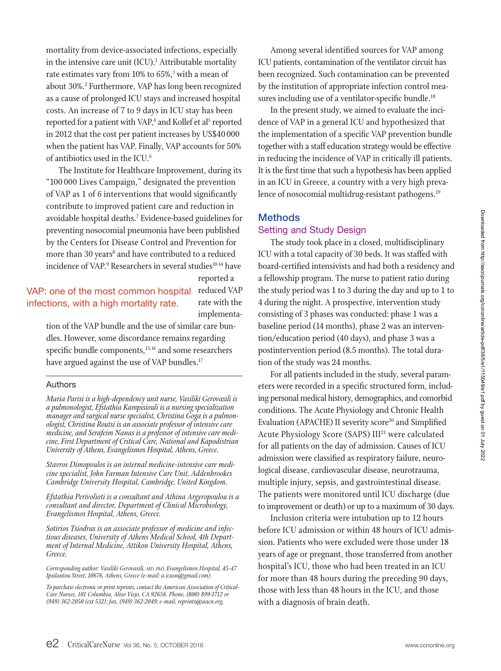mortality from device-associated infections, especially in the intensive care unit  $(ICU)^{1}$ . Attributable mortality rate estimates vary from 10% to 65%,<sup>3</sup> with a mean of about 30%.2 Furthermore, VAP has long been recognized as a cause of prolonged ICU stays and increased hospital costs. An increase of 7 to 9 days in ICU stay has been reported for a patient with VAP,<sup>4</sup> and Kollef et al<sup>5</sup> reported in 2012 that the cost per patient increases by US\$40 000 when the patient has VAP. Finally, VAP accounts for 50% of antibiotics used in the ICU.6

The Institute for Healthcare Improvement, during its "100 000 Lives Campaign," designated the prevention of VAP as 1 of 6 interventions that would significantly contribute to improved patient care and reduction in avoidable hospital deaths.7 Evidence-based guidelines for preventing nosocomial pneumonia have been published by the Centers for Disease Control and Prevention for more than 30 years<sup>8</sup> and have contributed to a reduced incidence of VAP.<sup>9</sup> Researchers in several studies<sup>10-14</sup> have

## VAP: one of the most common hospital infections, with a high mortality rate.

reported a reduced VAP rate with the implementa-

tion of the VAP bundle and the use of similar care bundles. However, some discordance remains regarding specific bundle components,<sup>15,16</sup> and some researchers have argued against the use of VAP bundles.<sup>17</sup>

#### Authors

*Maria Parisi is a high-dependency unit nurse, Vasiliki Gerovasili is a pulmonologist, Efstathia Kampisiouli is a nursing specialization manager and surgical nurse specialist, Christina Goga is a pulmonologist, Christina Routsi is an associate professor of intensive care medicine, and Serafeim Nanas is a professor of intensive care medicine, First Department of Critical Care, National and Kapodistrian University of Athens, Evangelismos Hospital, Athens, Greece.* 

*Stavros Dimopoulos is an internal medicine-intensive care medi- cine specialist, John Farman Intensive Care Unit, Addenbrookes Cambridge University Hospital, Cambridge, United Kingdom.*

*Efstathia Perivolioti is a consultant and Athina Argyropoulou is a consultant and director, Department of Clinical Microbiology, Evangelismos Hospital, Athens, Greece.*

*Sotirios Tsiodras is an associate professor of medicine and infectious diseases, University of Athens Medical School, 4th Department of Internal Medicine, Attikon University Hospital, Athens, Greece.*

*Corresponding author: Vasiliki Gerovasili, MD, PhD, Evangelismos Hospital, 45-47 Ipsilantou Street, 10676, Athens, Greece (e-mail: a.icusn@gmail.com).*

*To purchase electronic or print reprints, contact the American Association of Critical-Care Nurses, 101 Columbia, Aliso Viejo, CA 92656. Phone, (800) 899-1712 or (949) 362-2050 (ext 532); fax, (949) 362-2049; e-mail, reprints@aacn.org.*

Among several identified sources for VAP among ICU patients, contamination of the ventilator circuit has been recognized. Such contamination can be prevented by the institution of appropriate infection control measures including use of a ventilator-specific bundle.<sup>18</sup>

In the present study, we aimed to evaluate the incidence of VAP in a general ICU and hypothesized that the implementation of a specific VAP prevention bundle together with a staff education strategy would be effective in reducing the incidence of VAP in critically ill patients. It is the first time that such a hypothesis has been applied in an ICU in Greece, a country with a very high prevalence of nosocomial multidrug-resistant pathogens.<sup>19</sup>

## Methods

#### Setting and Study Design

The study took place in a closed, multidisciplinary ICU with a total capacity of 30 beds. It was staffed with board-certified intensivists and had both a residency and a fellowship program. The nurse to patient ratio during the study period was 1 to 3 during the day and up to 1 to 4 during the night. A prospective, intervention study consisting of 3 phases was conducted: phase 1 was a baseline period (14 months), phase 2 was an intervention/education period (40 days), and phase 3 was a postintervention period (8.5 months). The total duration of the study was 24 months.

For all patients included in the study, several parameters were recorded in a specific structured form, including personal medical history, demographics, and comorbid conditions. The Acute Physiology and Chronic Health Evaluation (APACHE) II severity score<sup>20</sup> and Simplified Acute Physiology Score (SAPS) III<sup>21</sup> were calculated for all patients on the day of admission. Causes of ICU admission were classified as respiratory failure, neurological disease, cardiovascular disease, neurotrauma, multiple injury, sepsis, and gastrointestinal disease. The patients were monitored until ICU discharge (due to improvement or death) or up to a maximum of 30 days.

Inclusion criteria were intubation up to 12 hours before ICU admission or within 48 hours of ICU admission. Patients who were excluded were those under 18 years of age or pregnant, those transferred from another hospital's ICU, those who had been treated in an ICU for more than 48 hours during the preceding 90 days, those with less than 48 hours in the ICU, and those with a diagnosis of brain death.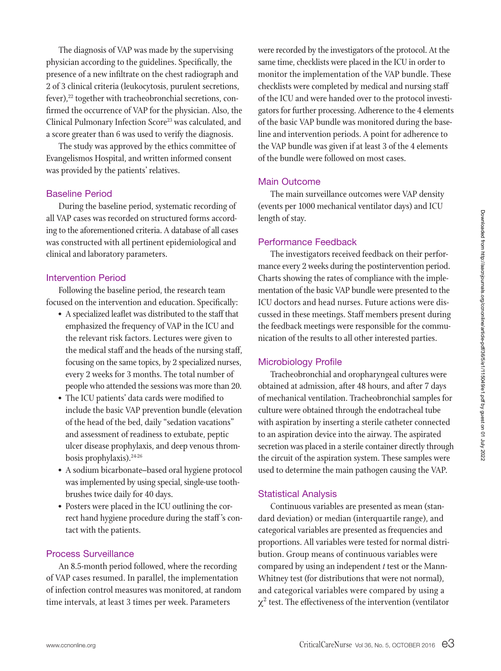The diagnosis of VAP was made by the supervising physician according to the guidelines. Specifically, the presence of a new infiltrate on the chest radiograph and 2 of 3 clinical criteria (leukocytosis, purulent secretions, fever),<sup>22</sup> together with tracheobronchial secretions, confirmed the occurrence of VAP for the physician. Also, the Clinical Pulmonary Infection Score<sup>23</sup> was calculated, and a score greater than 6 was used to verify the diagnosis.

The study was approved by the ethics committee of Evangelismos Hospital, and written informed consent was provided by the patients' relatives.

## Baseline Period

During the baseline period, systematic recording of all VAP cases was recorded on structured forms according to the aforementioned criteria. A database of all cases was constructed with all pertinent epidemiological and clinical and laboratory parameters.

## Intervention Period

Following the baseline period, the research team focused on the intervention and education. Specifically:

- A specialized leaflet was distributed to the staff that emphasized the frequency of VAP in the ICU and the relevant risk factors. Lectures were given to the medical staff and the heads of the nursing staff, focusing on the same topics, by 2 specialized nurses, every 2 weeks for 3 months. The total number of people who attended the sessions was more than 20.
- The ICU patients' data cards were modified to include the basic VAP prevention bundle (elevation of the head of the bed, daily "sedation vacations" and assessment of readiness to extubate, peptic ulcer disease prophylaxis, and deep venous thrombosis prophylaxis). $24-26$
- A sodium bicarbonate–based oral hygiene protocol was implemented by using special, single-use toothbrushes twice daily for 40 days.
- Posters were placed in the ICU outlining the correct hand hygiene procedure during the staff 's contact with the patients.

## Process Surveillance

An 8.5-month period followed, where the recording of VAP cases resumed. In parallel, the implementation of infection control measures was monitored, at random time intervals, at least 3 times per week. Parameters

were recorded by the investigators of the protocol. At the same time, checklists were placed in the ICU in order to monitor the implementation of the VAP bundle. These checklists were completed by medical and nursing staff of the ICU and were handed over to the protocol investigators for further processing. Adherence to the 4 elements of the basic VAP bundle was monitored during the baseline and intervention periods. A point for adherence to the VAP bundle was given if at least 3 of the 4 elements of the bundle were followed on most cases.

## Main Outcome

The main surveillance outcomes were VAP density (events per 1000 mechanical ventilator days) and ICU length of stay.

## Performance Feedback

The investigators received feedback on their performance every 2 weeks during the postintervention period. Charts showing the rates of compliance with the implementation of the basic VAP bundle were presented to the ICU doctors and head nurses. Future actions were discussed in these meetings. Staff members present during the feedback meetings were responsible for the communication of the results to all other interested parties.

## Microbiology Profile

Tracheobronchial and oropharyngeal cultures were obtained at admission, after 48 hours, and after 7 days of mechanical ventilation. Tracheobronchial samples for culture were obtained through the endotracheal tube with aspiration by inserting a sterile catheter connected to an aspiration device into the airway. The aspirated secretion was placed in a sterile container directly through the circuit of the aspiration system. These samples were used to determine the main pathogen causing the VAP.

## Statistical Analysis

Continuous variables are presented as mean (standard deviation) or median (interquartile range), and categorical variables are presented as frequencies and proportions. All variables were tested for normal distribution. Group means of continuous variables were compared by using an independent *t* test or the Mann-Whitney test (for distributions that were not normal), and categorical variables were compared by using a  $\chi^2$  test. The effectiveness of the intervention (ventilator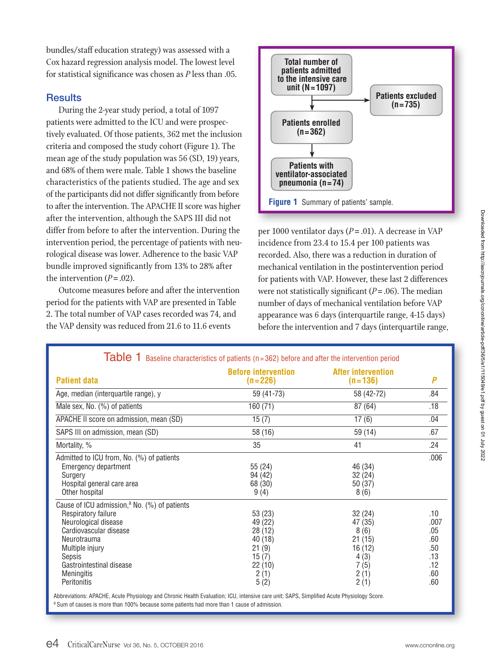bundles/staff education strategy) was assessed with a Cox hazard regression analysis model. The lowest level for statistical significance was chosen as *P* less than .05.

## **Results**

During the 2-year study period, a total of 1097 patients were admitted to the ICU and were prospectively evaluated. Of those patients, 362 met the inclusion criteria and composed the study cohort (Figure 1). The mean age of the study population was 56 (SD, 19) years, and 68% of them were male. Table 1 shows the baseline characteristics of the patients studied. The age and sex of the participants did not differ significantly from before to after the intervention. The APACHE II score was higher after the intervention, although the SAPS III did not differ from before to after the intervention. During the intervention period, the percentage of patients with neurological disease was lower. Adherence to the basic VAP bundle improved significantly from 13% to 28% after the intervention  $(P=.02)$ .

Outcome measures before and after the intervention period for the patients with VAP are presented in Table 2. The total number of VAP cases recorded was 74, and the VAP density was reduced from 21.6 to 11.6 events



per 1000 ventilator days ( $P = .01$ ). A decrease in VAP incidence from 23.4 to 15.4 per 100 patients was recorded. Also, there was a reduction in duration of mechanical ventilation in the postintervention period for patients with VAP. However, these last 2 differences were not statistically significant  $(P = .06)$ . The median number of days of mechanical ventilation before VAP appearance was 6 days (interquartile range, 4-15 days) before the intervention and 7 days (interquartile range,

| <b>Patient data</b>                                                                                                                                                                                                           | <b>Before intervention</b><br>$(n=226)$                                            | <b>After intervention</b><br>$(n=136)$                                         | P                                                            |
|-------------------------------------------------------------------------------------------------------------------------------------------------------------------------------------------------------------------------------|------------------------------------------------------------------------------------|--------------------------------------------------------------------------------|--------------------------------------------------------------|
| Age, median (interquartile range), y                                                                                                                                                                                          | 59 (41-73)                                                                         | 58 (42-72)                                                                     | .84                                                          |
| Male sex, No. (%) of patients                                                                                                                                                                                                 | 160 (71)                                                                           | 87 (64)                                                                        | .18                                                          |
| APACHE II score on admission, mean (SD)                                                                                                                                                                                       | 15(7)                                                                              | 17(6)                                                                          | .04                                                          |
| SAPS III on admission, mean (SD)                                                                                                                                                                                              | 58 (16)                                                                            | 59 (14)                                                                        | .67                                                          |
| Mortality, %                                                                                                                                                                                                                  | 35                                                                                 | 41                                                                             | .24                                                          |
| Admitted to ICU from, No. (%) of patients<br><b>Emergency department</b><br>Surgery<br>Hospital general care area<br>Other hospital                                                                                           | 55 (24)<br>94 (42)<br>68 (30)<br>9(4)                                              | 46 (34)<br>32(24)<br>50 (37)<br>8(6)                                           | .006                                                         |
| Cause of ICU admission, $a$ No. (%) of patients<br>Respiratory failure<br>Neurological disease<br>Cardiovascular disease<br>Neurotrauma<br>Multiple injury<br>Sepsis<br>Gastrointestinal disease<br>Meningitis<br>Peritonitis | 53 (23)<br>49 (22)<br>28(12)<br>40(18)<br>21(9)<br>15(7)<br>22(10)<br>2(1)<br>5(2) | 32(24)<br>47 (35)<br>8(6)<br>21(15)<br>16 (12)<br>4(3)<br>7(5)<br>2(1)<br>2(1) | .10<br>.007<br>.05<br>.60<br>.50<br>.13<br>.12<br>.60<br>.60 |

ology and Chronic Health Evaluation; ICU, intensive care unit;  $a$  Sum of causes is more than 100% because some patients had more than 1 cause of admission.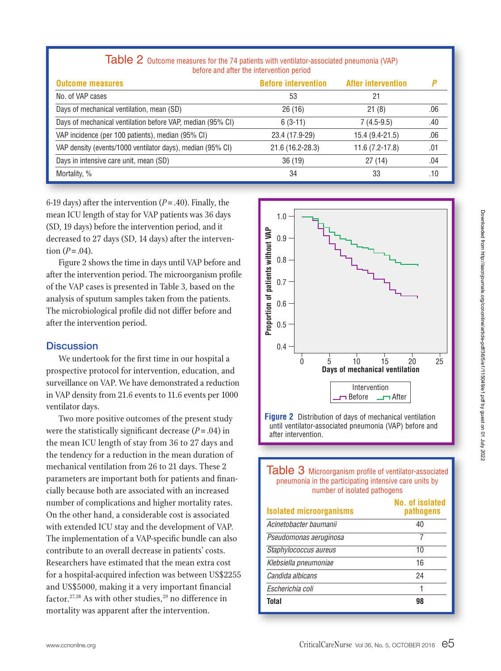| <b>Outcome measures</b>                                    | <b>Before intervention</b> | <b>After intervention</b> |     |
|------------------------------------------------------------|----------------------------|---------------------------|-----|
| No. of VAP cases                                           | 53                         | 21                        |     |
| Days of mechanical ventilation, mean (SD)                  | 26(16)                     | 21(8)                     | .06 |
| Days of mechanical ventilation before VAP, median (95% CI) | $6(3-11)$                  | $7(4.5-9.5)$              | .40 |
| VAP incidence (per 100 patients), median (95% CI)          | 23.4 (17.9-29)             | 15.4 (9.4-21.5)           | .06 |
| VAP density (events/1000 ventilator days), median (95% CI) | 21.6 (16.2-28.3)           | $11.6(7.2-17.8)$          | .01 |
| Days in intensive care unit, mean (SD)                     | 36(19)                     | 27(14)                    | .04 |
| Mortality, %                                               | 34                         | 33                        | .10 |

Table 2 Outcome measures for the 74 patients with ventilator-associated pneumonia (VAP) before and after the intervention period

6-19 days) after the intervention  $(P = .40)$ . Finally, the mean ICU length of stay for VAP patients was 36 days (SD, 19 days) before the intervention period, and it decreased to 27 days (SD, 14 days) after the intervention  $(P = .04)$ .

Figure 2 shows the time in days until VAP before and after the intervention period. The microorganism profile of the VAP cases is presented in Table 3, based on the analysis of sputum samples taken from the patients. The microbiological profile did not differ before and after the intervention period.

## **Discussion**

We undertook for the first time in our hospital a prospective protocol for intervention, education, and surveillance on VAP. We have demonstrated a reduction in VAP density from 21.6 events to 11.6 events per 1000 ventilator days.

Two more positive outcomes of the present study were the statistically significant decrease  $(P = .04)$  in the mean ICU length of stay from 36 to 27 days and the tendency for a reduction in the mean duration of mechanical ventilation from 26 to 21 days. These 2 parameters are important both for patients and financially because both are associated with an increased number of complications and higher mortality rates. On the other hand, a considerable cost is associated with extended ICU stay and the development of VAP. The implementation of a VAP-specific bundle can also contribute to an overall decrease in patients' costs. Researchers have estimated that the mean extra cost for a hospital-acquired infection was between US\$2255 and US\$5000, making it a very important financial factor.<sup>27,28</sup> As with other studies,<sup>29</sup> no difference in mortality was apparent after the intervention.



**Figure 2** Distribution of days of mechanical ventilation until ventilator-associated pneumonia (VAP) before and after intervention.

| Table 3 Microorganism profile of ventilator-associated<br>pneumonia in the participating intensive care units by<br>number of isolated pathogens |                                     |
|--------------------------------------------------------------------------------------------------------------------------------------------------|-------------------------------------|
| <b>Isolated microorganisms</b>                                                                                                                   | <b>No. of isolated</b><br>pathogens |
| Acinetobacter baumanii                                                                                                                           | 40                                  |
| Pseudomonas aeruginosa                                                                                                                           |                                     |
| Stanhylococcus aureus                                                                                                                            | 10                                  |

| Total                 | 98 |
|-----------------------|----|
| Escherichia coli      |    |
| Candida albicans      | 24 |
| Klebsiella pneumoniae | 16 |
| Staphylococcus aureus | 10 |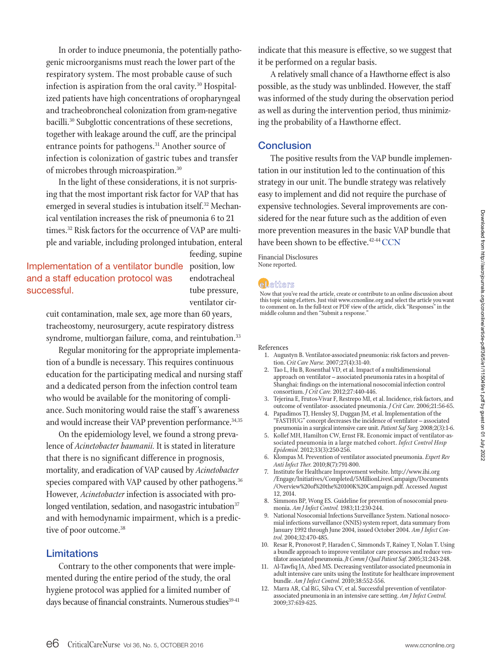In order to induce pneumonia, the potentially pathogenic microorganisms must reach the lower part of the respiratory system. The most probable cause of such infection is aspiration from the oral cavity.30 Hospitalized patients have high concentrations of oropharyngeal and tracheobroncheal colonization from gram-negative bacilli.30 Subglottic concentrations of these secretions, together with leakage around the cuff, are the principal entrance points for pathogens.<sup>31</sup> Another source of infection is colonization of gastric tubes and transfer of microbes through microaspiration.30

In the light of these considerations, it is not surprising that the most important risk factor for VAP that has emerged in several studies is intubation itself.<sup>32</sup> Mechanical ventilation increases the risk of pneumonia 6 to 21 times.32 Risk factors for the occurrence of VAP are multiple and variable, including prolonged intubation, enteral

## Implementation of a ventilator bundle and a staff education protocol was successful.

feeding, supine position, low endotracheal tube pressure, ventilator cir-

cuit contamination, male sex, age more than 60 years, tracheostomy, neurosurgery, acute respiratory distress syndrome, multiorgan failure, coma, and reintubation.<sup>33</sup>

Regular monitoring for the appropriate implementation of a bundle is necessary. This requires continuous education for the participating medical and nursing staff and a dedicated person from the infection control team who would be available for the monitoring of compliance. Such monitoring would raise the staff 's awareness and would increase their VAP prevention performance.<sup>34,35</sup>

On the epidemiology level, we found a strong prevalence of *Acinetobacter baumanii.* It is stated in literature that there is no significant difference in prognosis, mortality, and eradication of VAP caused by *Acinetobacter* species compared with VAP caused by other pathogens.<sup>36</sup> However, *Acinetobacter* infection is associated with prolonged ventilation, sedation, and nasogastric intubation<sup>37</sup> and with hemodynamic impairment, which is a predictive of poor outcome.<sup>38</sup>

## **Limitations**

Contrary to the other components that were implemented during the entire period of the study, the oral hygiene protocol was applied for a limited number of days because of financial constraints. Numerous studies<sup>39-41</sup>

indicate that this measure is effective, so we suggest that it be performed on a regular basis.

A relatively small chance of a Hawthorne effect is also possible, as the study was unblinded. However, the staff was informed of the study during the observation period as well as during the intervention period, thus minimizing the probability of a Hawthorne effect.

## **Conclusion**

The positive results from the VAP bundle implementation in our institution led to the continuation of this strategy in our unit. The bundle strategy was relatively easy to implement and did not require the purchase of expensive technologies. Several improvements are considered for the near future such as the addition of even more prevention measures in the basic VAP bundle that have been shown to be effective.<sup>42-44</sup> CCN

Financial Disclosures None reported.

#### **eLetters**

Now that you've read the article, create or contribute to an online discussion about this topic using eLetters. Just visit www.ccnonline.org and select the article you want to comment on. In the full-text or PDF view of the article, click "Responses" in the middle column and then "Submit a response."

#### References

- 1. Augustyn B. Ventilator-associated pneumonia: risk factors and prevention. *Crit Care Nurse.* 2007;27(4):31-40.
- 2. Tao L, Hu B, Rosenthal VD, et al. Impact of a multidimensional approach on ventilator – associated pneumonia rates in a hospital of Shanghai: findings on the international nosocomial infection control consortium. *J Crit Care.* 2012;27:440-446.
- 3. Tejerina E, Frutos-Vivar F, Restrepo MI, et al. Incidence, risk factors, and outcome of ventilator- associated pneumonia. *J Crit Care.* 2006;21:56-65.
- 4. Papadimos TJ, Hensley SJ, Duggan JM, et al. Implementation of the "FASTHUG" concept decreases the incidence of ventilator – associated pneumonia in a surgical intensive care unit. *Patient Saf Surg.* 2008;2(3):1-6.
- 5. Kollef MH, Hamilton CW, Ernst FR. Economic impact of ventilator-associated pneumonia in a large matched cohort. *Infect Control Hosp Epidemiol.* 2012;33(3):250-256.
- 6. Klompas M. Prevention of ventilator associated pneumonia. *Expert Rev Anti Infect Ther.* 2010;8(7):791-800.
- 7. Institute for Healthcare Improvement website. http://www.ihi.org /Engage/Initiatives/Completed/5MillionLivesCampaign/Documents /Overview%20of%20the%20100K%20Campaign.pdf. Accessed August 12, 2014.
- 8. Simmons BP, Wong ES. Guideline for prevention of nosocomial pneumonia. *Am J Infect Control.* 1983;11:230-244.
- 9. National Nosocomial Infections Surveillance System. National nosocomial infections surveillance (NNIS) system report, data summary from January 1992 through June 2004, issued October 2004. *Am J Infect Control.* 2004;32:470-485.
- 10. Resar R, Pronovost P, Haraden C, Simmonds T, Rainey T, Nolan T. Using a bundle approach to improve ventilator care processes and reduce ventilator associated pneumonia. *Jt Comm J Qual Patient Saf.* 2005;31:243-248.
- 11. Al-Tawfiq JA, Abed MS. Decreasing ventilator-associated pneumonia in adult intensive care units using the Institute for healthcare improvement bundle. *Am J Infect Control.* 2010;38:552-556.
- 12. Marra AR, Cal RG, Silva CV, et al. Successful prevention of ventilatorassociated pneumonia in an intensive care setting. *Am J Infect Control.* 2009;37:619-625.